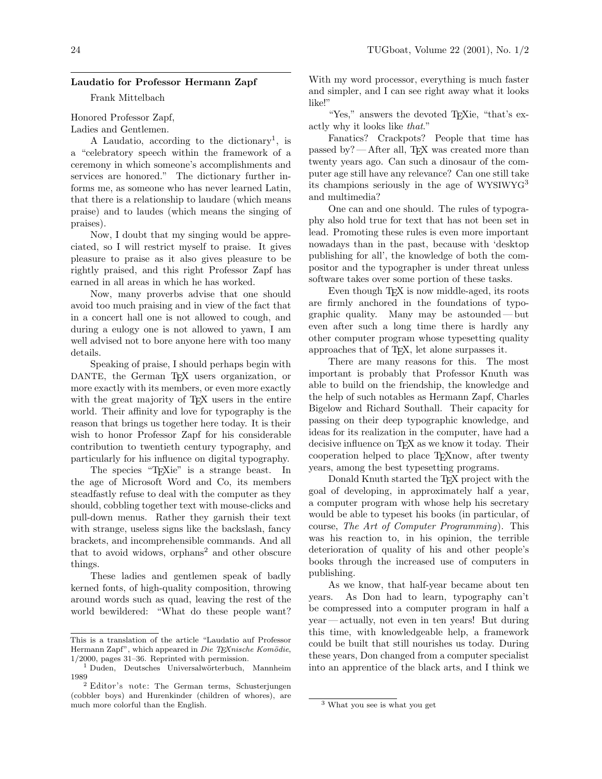## Laudatio for Professor Hermann Zapf

Frank Mittelbach

Honored Professor Zapf,

Ladies and Gentlemen.

A Laudatio, according to the dictionary<sup>1</sup>, is a "celebratory speech within the framework of a ceremony in which someone's accomplishments and services are honored." The dictionary further informs me, as someone who has never learned Latin, that there is a relationship to laudare (which means praise) and to laudes (which means the singing of praises).

Now, I doubt that my singing would be appreciated, so I will restrict myself to praise. It gives pleasure to praise as it also gives pleasure to be rightly praised, and this right Professor Zapf has earned in all areas in which he has worked.

Now, many proverbs advise that one should avoid too much praising and in view of the fact that in a concert hall one is not allowed to cough, and during a eulogy one is not allowed to yawn, I am well advised not to bore anyone here with too many details.

Speaking of praise, I should perhaps begin with DANTE, the German T<sub>EX</sub> users organization, or more exactly with its members, or even more exactly with the great majority of T<sub>E</sub>X users in the entire world. Their affinity and love for typography is the reason that brings us together here today. It is their wish to honor Professor Zapf for his considerable contribution to twentieth century typography, and particularly for his influence on digital typography.

The species "TEXie" is a strange beast. In the age of Microsoft Word and Co, its members steadfastly refuse to deal with the computer as they should, cobbling together text with mouse-clicks and pull-down menus. Rather they garnish their text with strange, useless signs like the backslash, fancy brackets, and incomprehensible commands. And all that to avoid widows,  $orphans<sup>2</sup>$  and other obscure things.

These ladies and gentlemen speak of badly kerned fonts, of high-quality composition, throwing around words such as quad, leaving the rest of the world bewildered: "What do these people want?

With my word processor, everything is much faster and simpler, and I can see right away what it looks like!"

"Yes," answers the devoted TEXie, "that's exactly why it looks like that."

Fanatics? Crackpots? People that time has passed by?— After all, TEX was created more than twenty years ago. Can such a dinosaur of the computer age still have any relevance? Can one still take its champions seriously in the age of WYSIWYG<sup>3</sup> and multimedia?

One can and one should. The rules of typography also hold true for text that has not been set in lead. Promoting these rules is even more important nowadays than in the past, because with 'desktop publishing for all', the knowledge of both the compositor and the typographer is under threat unless software takes over some portion of these tasks.

Even though T<sub>E</sub>X is now middle-aged, its roots are firmly anchored in the foundations of typographic quality. Many may be astounded — but even after such a long time there is hardly any other computer program whose typesetting quality approaches that of TEX, let alone surpasses it.

There are many reasons for this. The most important is probably that Professor Knuth was able to build on the friendship, the knowledge and the help of such notables as Hermann Zapf, Charles Bigelow and Richard Southall. Their capacity for passing on their deep typographic knowledge, and ideas for its realization in the computer, have had a decisive influence on T<sub>E</sub>X as we know it today. Their cooperation helped to place TEXnow, after twenty years, among the best typesetting programs.

Donald Knuth started the T<sub>E</sub>X project with the goal of developing, in approximately half a year, a computer program with whose help his secretary would be able to typeset his books (in particular, of course, The Art of Computer Programming). This was his reaction to, in his opinion, the terrible deterioration of quality of his and other people's books through the increased use of computers in publishing.

As we know, that half-year became about ten years. As Don had to learn, typography can't be compressed into a computer program in half a year— actually, not even in ten years! But during this time, with knowledgeable help, a framework could be built that still nourishes us today. During these years, Don changed from a computer specialist into an apprentice of the black arts, and I think we

This is a translation of the article "Laudatio auf Professor Hermann Zapf", which appeared in Die TEXnische Komödie, 1/2000, pages 31–36. Reprinted with permission.

<sup>&</sup>lt;sup>1</sup> Duden, Deutsches Universalwörterbuch, Mannheim 1989

<sup>2</sup> Editor's note: The German terms, Schusterjungen (cobbler boys) and Hurenkinder (children of whores), are much more colorful than the English.

<sup>3</sup> What you see is what you get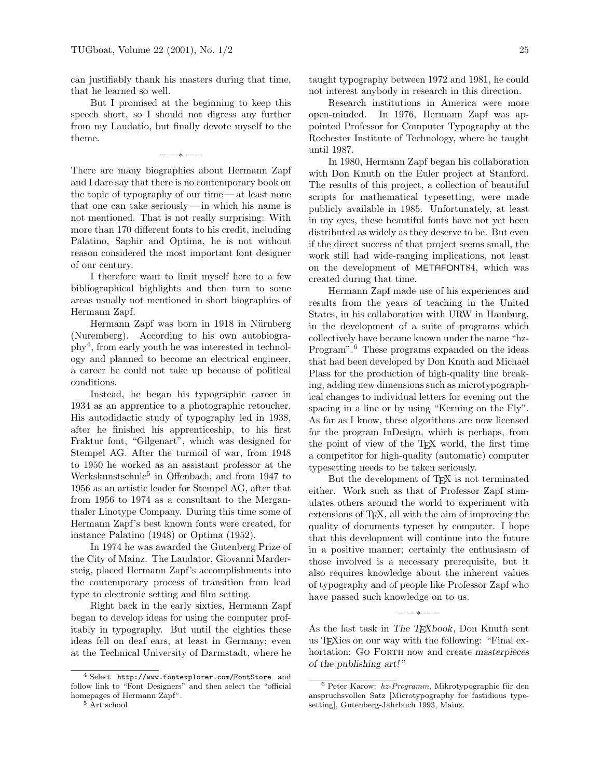can justifiably thank his masters during that time, that he learned so well.

But I promised at the beginning to keep this speech short, so I should not digress any further from my Laudatio, but finally devote myself to the theme.

 $- - * - -$ 

There are many biographies about Hermann Zapf and I dare say that there is no contemporary book on the topic of typography of our time — at least none that one can take seriously— in which his name is not mentioned. That is not really surprising: With more than 170 different fonts to his credit, including Palatino, Saphir and Optima, he is not without reason considered the most important font designer of our century.

I therefore want to limit myself here to a few bibliographical highlights and then turn to some areas usually not mentioned in short biographies of Hermann Zapf.

Hermann Zapf was born in 1918 in Nürnberg (Nuremberg). According to his own autobiography<sup>4</sup> , from early youth he was interested in technology and planned to become an electrical engineer, a career he could not take up because of political conditions.

Instead, he began his typographic career in 1934 as an apprentice to a photographic retoucher. His autodidactic study of typography led in 1938, after he finished his apprenticeship, to his first Fraktur font, "Gilgenart", which was designed for Stempel AG. After the turmoil of war, from 1948 to 1950 he worked as an assistant professor at the Werkskunstschule<sup>5</sup> in Offenbach, and from 1947 to 1956 as an artistic leader for Stempel AG, after that from 1956 to 1974 as a consultant to the Merganthaler Linotype Company. During this time some of Hermann Zapf's best known fonts were created, for instance Palatino (1948) or Optima (1952).

In 1974 he was awarded the Gutenberg Prize of the City of Mainz. The Laudator, Giovanni Mardersteig, placed Hermann Zapf's accomplishments into the contemporary process of transition from lead type to electronic setting and film setting.

Right back in the early sixties, Hermann Zapf began to develop ideas for using the computer profitably in typography. But until the eighties these ideas fell on deaf ears, at least in Germany; even at the Technical University of Darmstadt, where he taught typography between 1972 and 1981, he could not interest anybody in research in this direction.

Research institutions in America were more open-minded. In 1976, Hermann Zapf was appointed Professor for Computer Typography at the Rochester Institute of Technology, where he taught until 1987.

In 1980, Hermann Zapf began his collaboration with Don Knuth on the Euler project at Stanford. The results of this project, a collection of beautiful scripts for mathematical typesetting, were made publicly available in 1985. Unfortunately, at least in my eyes, these beautiful fonts have not yet been distributed as widely as they deserve to be. But even if the direct success of that project seems small, the work still had wide-ranging implications, not least on the development of METAFONT84, which was created during that time.

Hermann Zapf made use of his experiences and results from the years of teaching in the United States, in his collaboration with URW in Hamburg, in the development of a suite of programs which collectively have became known under the name "hz-Program".<sup>6</sup> These programs expanded on the ideas that had been developed by Don Knuth and Michael Plass for the production of high-quality line breaking, adding new dimensions such as microtypographical changes to individual letters for evening out the spacing in a line or by using "Kerning on the Fly". As far as I know, these algorithms are now licensed for the program InDesign, which is perhaps, from the point of view of the TEX world, the first time a competitor for high-quality (automatic) computer typesetting needs to be taken seriously.

But the development of T<sub>E</sub>X is not terminated either. Work such as that of Professor Zapf stimulates others around the world to experiment with extensions of TEX, all with the aim of improving the quality of documents typeset by computer. I hope that this development will continue into the future in a positive manner; certainly the enthusiasm of those involved is a necessary prerequisite, but it also requires knowledge about the inherent values of typography and of people like Professor Zapf who have passed such knowledge on to us.

− − ∗ − −

As the last task in The T<sub>E</sub>Xbook, Don Knuth sent us TEXies on our way with the following: "Final exhortation: GO FORTH now and create masterpieces of the publishing art! "

<sup>4</sup> Select http://www.fontexplorer.com/FontStore and follow link to "Font Designers" and then select the "official homepages of Hermann Zapf".

<sup>5</sup> Art school

 $6$  Peter Karow:  $hz-Programm$ , Mikrotypographie für den anspruchsvollen Satz [Microtypography for fastidious typesetting], Gutenberg-Jahrbuch 1993, Mainz.